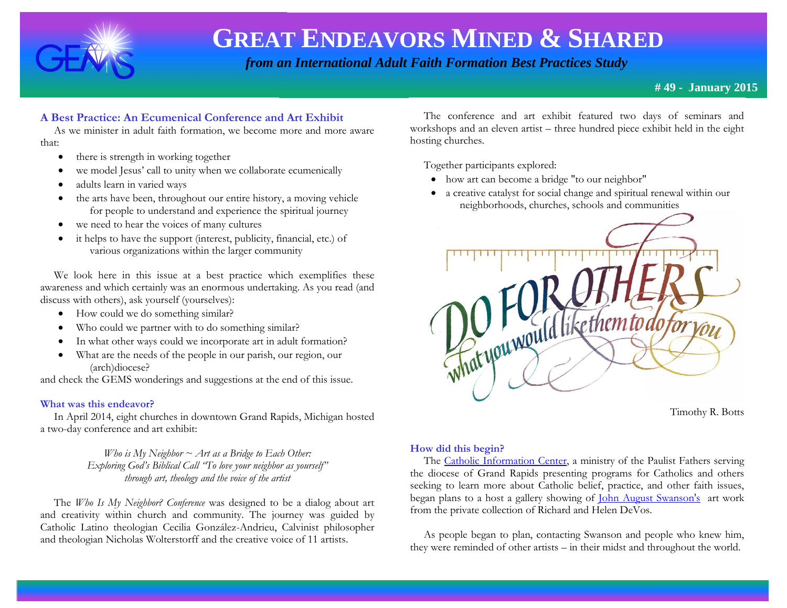

 *from an International Adult Faith Formation Best Practices Study*

### **# 49 - January 2015**

# **A Best Practice: An Ecumenical Conference and Art Exhibit**

 As we minister in adult faith formation, we become more and more aware that:

- there is strength in working together
- we model Jesus' call to unity when we collaborate ecumenically
- adults learn in varied ways
- $\bullet$  the arts have been, throughout our entire history, a moving vehicle for people to understand and experience the spiritual journey
- we need to hear the voices of many cultures
- it helps to have the support (interest, publicity, financial, etc.) of various organizations within the larger community

 We look here in this issue at a best practice which exemplifies these awareness and which certainly was an enormous undertaking. As you read (and discuss with others), ask yourself (yourselves):

- How could we do something similar?
- Who could we partner with to do something similar?
- In what other ways could we incorporate art in adult formation?
- What are the needs of the people in our parish, our region, our (arch)diocese?

and check the GEMS wonderings and suggestions at the end of this issue.

#### **What was this endeavor?**

 In April 2014, eight churches in downtown Grand Rapids, Michigan hosted a two-day conference and art exhibit:

> *Who is My Neighbor ~ Art as a Bridge to Each Other: Exploring God's Biblical Call "To love your neighbor as yourself" through art, theology and the voice of the artist*

 The *Who Is My Neighbor? Conference* was designed to be a dialog about art and creativity within church and community. The journey was guided by Catholic Latino theologian Cecilia González-Andrieu, Calvinist philosopher and theologian Nicholas Wolterstorff and the creative voice of 11 artists.

 The conference and art exhibit featured two days of seminars and workshops and an eleven artist – three hundred piece exhibit held in the eight hosting churches.

Together participants explored:

- how art can become a bridge "to our neighbor"
- a creative catalyst for social change and spiritual renewal within our neighborhoods, churches, schools and communities



Timothy R. Botts

#### **How did this begin?**

The [Catholic Information Center,](http://www.catholicinformationcenter.org/) a ministry of the Paulist Fathers serving the diocese of Grand Rapids presenting programs for Catholics and others seeking to learn more about Catholic belief, practice, and other faith issues, began plans to a host a gallery showing of [John August Swanson's](http://johnaugustswanson.com/) art work from the private collection of Richard and Helen DeVos.

 As people began to plan, contacting Swanson and people who knew him, they were reminded of other artists – in their midst and throughout the world.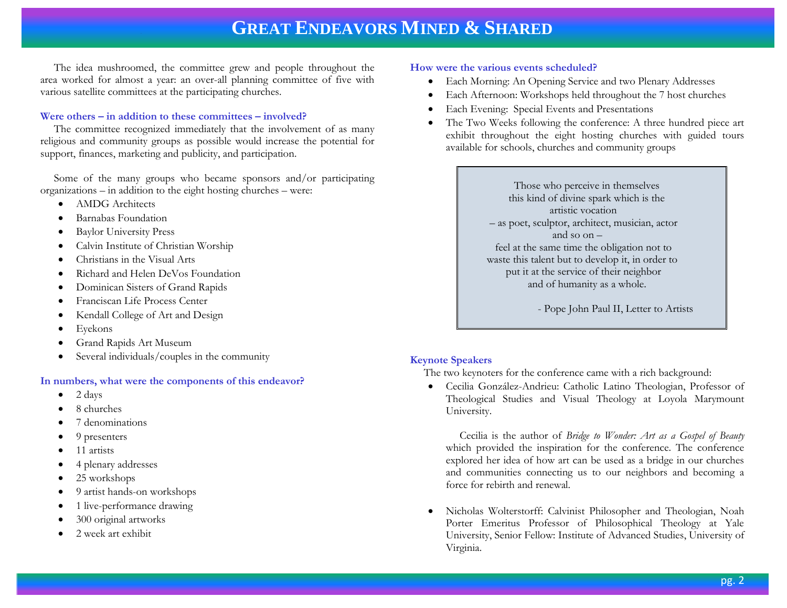The idea mushroomed, the committee grew and people throughout the area worked for almost a year: an over-all planning committee of five with various satellite committees at the participating churches.

#### **Were others – in addition to these committees – involved?**

 The committee recognized immediately that the involvement of as many religious and community groups as possible would increase the potential for support, finances, marketing and publicity, and participation.

 Some of the many groups who became sponsors and/or participating organizations – in addition to the eight hosting churches – were:

- AMDG Architects
- Barnabas Foundation
- Baylor University Press
- Calvin Institute of Christian Worship
- Christians in the Visual Arts
- Richard and Helen DeVos Foundation
- Dominican Sisters of Grand Rapids
- Franciscan Life Process Center
- Kendall College of Art and Design
- Eyekons
- Grand Rapids Art Museum
- Several individuals/couples in the community

#### **In numbers, what were the components of this endeavor?**

- $\bullet$  2 days
- 8 churches
- 7 denominations
- 9 presenters
- $\bullet$  11 artists
- 4 plenary addresses
- 25 workshops
- 9 artist hands-on workshops
- 1 live-performance drawing
- 300 original artworks
- 2 week art exhibit

#### **How were the various events scheduled?**

- Each Morning: An Opening Service and two Plenary Addresses
- Each Afternoon: Workshops held throughout the 7 host churches
- Each Evening: Special Events and Presentations
- The Two Weeks following the conference: A three hundred piece art exhibit throughout the eight hosting churches with guided tours available for schools, churches and community groups

 Those who perceive in themselves this kind of divine spark which is the artistic vocation – as poet, sculptor, architect, musician, actor and so on – feel at the same time the obligation not to waste this talent but to develop it, in order to put it at the service of their neighbor and of humanity as a whole.

- Pope John Paul II, Letter to Artists

#### **Keynote Speakers**

The two keynoters for the conference came with a rich background:

 Cecilia González-Andrieu: Catholic Latino Theologian, Professor of Theological Studies and Visual Theology at Loyola Marymount University.

 Cecilia is the author of *Bridge to Wonder: Art as a Gospel of Beauty* which provided the inspiration for the conference. The conference explored her idea of how art can be used as a bridge in our churches and communities connecting us to our neighbors and becoming a force for rebirth and renewal.

 Nicholas Wolterstorff: Calvinist Philosopher and Theologian, Noah Porter Emeritus Professor of Philosophical Theology at Yale University, Senior Fellow: Institute of Advanced Studies, University of Virginia.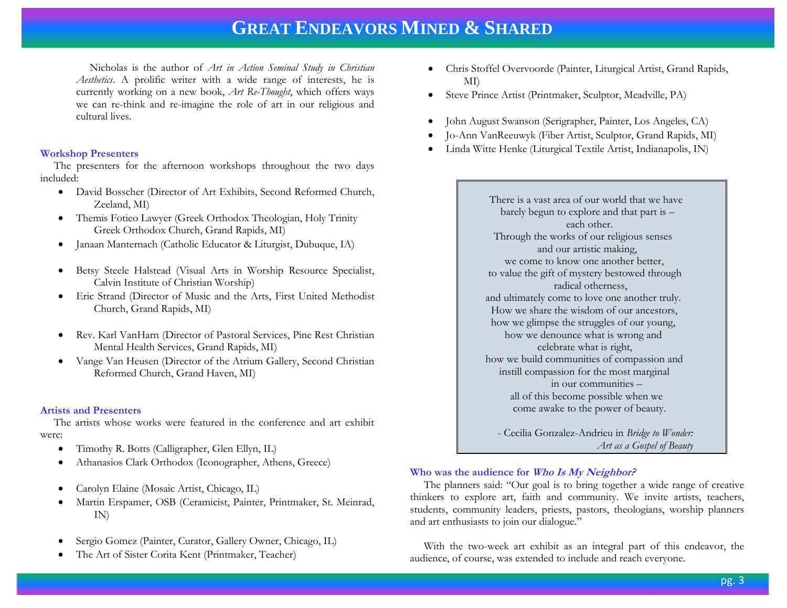Nicholas is the author of *Art in Action Seminal Study in Christian Aesthetics*. A prolific writer with a wide range of interests, he is currently working on a new book, *Art Re-Thought*, which offers ways we can re-think and re-imagine the role of art in our religious and cultural lives.

#### **Workshop Presenters**

 The presenters for the afternoon workshops throughout the two days included:

- David Bosscher (Director of Art Exhibits, Second Reformed Church, Zeeland, MI)
- Themis Fotieo Lawyer (Greek Orthodox Theologian, Holy Trinity Greek Orthodox Church, Grand Rapids, MI)
- Janaan Manternach (Catholic Educator & Liturgist, Dubuque, IA)
- Betsy Steele Halstead (Visual Arts in Worship Resource Specialist, Calvin Institute of Christian Worship)
- Eric Strand (Director of Music and the Arts, First United Methodist Church, Grand Rapids, MI)
- Rev. Karl VanHarn (Director of Pastoral Services, Pine Rest Christian Mental Health Services, Grand Rapids, MI)
- Vange Van Heusen (Director of the Atrium Gallery, Second Christian Reformed Church, Grand Haven, MI)

#### **Artists and Presenters**

 The artists whose works were featured in the conference and art exhibit were:

- Timothy R. Botts (Calligrapher, Glen Ellyn, IL)
- Athanasios Clark Orthodox (Iconographer, Athens, Greece)
- Carolyn Elaine (Mosaic Artist, Chicago, IL)
- Martin Erspamer, OSB (Ceramicist, Painter, Printmaker, St. Meinrad, IN)
- Sergio Gomez (Painter, Curator, Gallery Owner, Chicago, IL)
- The Art of Sister Corita Kent (Printmaker, Teacher)
- Chris Stoffel Overvoorde (Painter, Liturgical Artist, Grand Rapids, MI)
- Steve Prince Artist (Printmaker, Sculptor, Meadville, PA)
- John August Swanson (Serigrapher, Painter, Los Angeles, CA)
- Jo-Ann VanReeuwyk (Fiber Artist, Sculptor, Grand Rapids, MI)
- Linda Witte Henke (Liturgical Textile Artist, Indianapolis, IN)

 There is a vast area of our world that we have barely begun to explore and that part is – each other. Through the works of our religious senses and our artistic making, we come to know one another better, to value the gift of mystery bestowed through radical otherness, and ultimately come to love one another truly. How we share the wisdom of our ancestors, how we glimpse the struggles of our young, how we denounce what is wrong and celebrate what is right, how we build communities of compassion and instill compassion for the most marginal in our communities – all of this become possible when we come awake to the power of beauty.

 - Cecilia Gonzalez-Andrieu in *Bridge to Wonder: Art as a Gospel of Beauty* 

#### **Who was the audience for Who Is My Neighbor?**

 The planners said: "Our goal is to bring together a wide range of creative thinkers to explore art, faith and community. We invite artists, teachers, students, community leaders, priests, pastors, theologians, worship planners and art enthusiasts to join our dialogue."

 With the two-week art exhibit as an integral part of this endeavor, the audience, of course, was extended to include and reach everyone.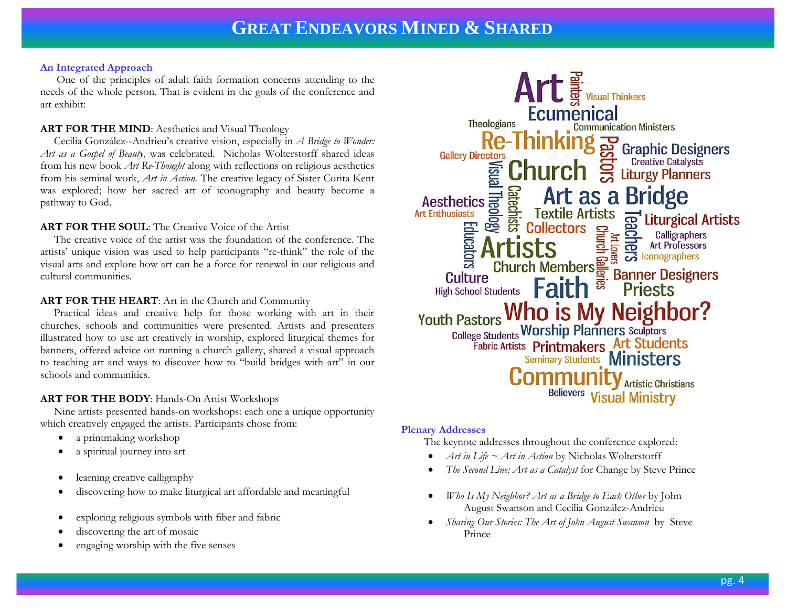#### **An Integrated Approach**

 One of the principles of adult faith formation concerns attending to the needs of the whole person. That is evident in the goals of the conference and art exhibit:

# **ART FOR THE MIND:** Aesthetics and Visual Theology

 Cecilia González--Andrieu's creative vision, especially in *A Bridge to Wonder: Art as a Gospel of Beauty*, was celebrated. Nicholas Wolterstorff shared ideas from his new book *Art Re-Thought* along with reflections on religious aesthetics from his seminal work, *Art in Action.* The creative legacy of Sister Corita Kent was explored; how her sacred art of iconography and beauty become a pathway to God.

# **ART FOR THE SOUL**: The Creative Voice of the Artist

 The creative voice of the artist was the foundation of the conference. The artists' unique vision was used to help participants "re-think" the role of the visual arts and explore how art can be a force for renewal in our religious and cultural communities.

### **ART FOR THE HEART**: Art in the Church and Community

 Practical ideas and creative help for those working with art in their churches, schools and communities were presented. Artists and presenters illustrated how to use art creatively in worship, explored liturgical themes for banners, offered advice on running a church gallery, shared a visual approach to teaching art and ways to discover how to "build bridges with art" in our schools and communities.

# **ART FOR THE BODY**: Hands-On Artist Workshops

 Nine artists presented hands-on workshops: each one a unique opportunity which creatively engaged the artists. Participants chose from:

- a printmaking workshop
- a spiritual journey into art
- learning creative calligraphy
- discovering how to make liturgical art affordable and meaningful
- exploring religious symbols with fiber and fabric
- discovering the art of mosaic
- engaging worship with the five senses



#### **Plenary Addresses**

The keynote addresses throughout the conference explored:

- *Art in Life ~ Art in Action* by Nicholas Wolterstorff
- *The Second Line: Art as a Catalyst* for Change by Steve Prince
- *Who Is My Neighbor? Art as a Bridge to Each Other* by John August Swanson and Cecilia González-Andrieu
- *Sharing Our Stories: The Art of John August Swanson* by Steve Prince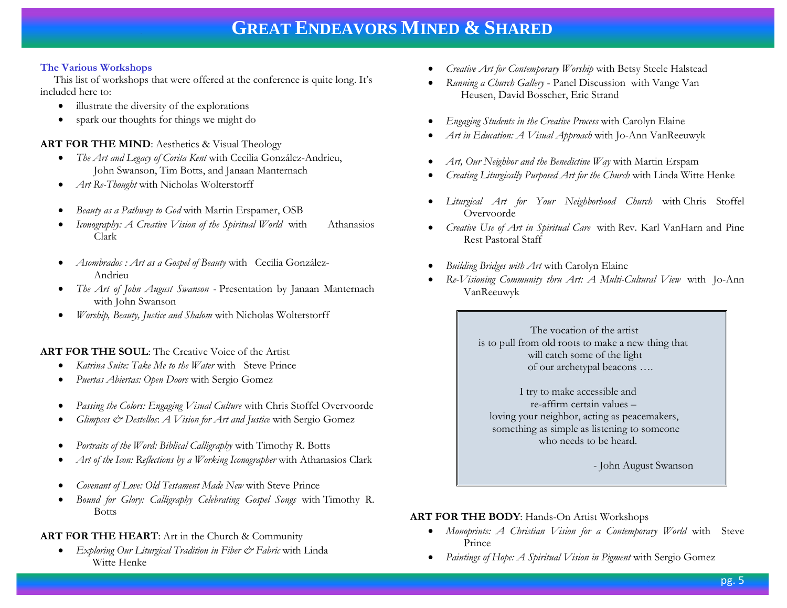#### **The Various Workshops**

 This list of workshops that were offered at the conference is quite long. It's included here to:

- illustrate the diversity of the explorations
- spark our thoughts for things we might do

### **ART FOR THE MIND:** Aesthetics & Visual Theology

- *The Art and Legacy of Corita Kent* with Cecilia González-Andrieu, John Swanson, Tim Botts, and Janaan Manternach
- *Art Re-Thought* with Nicholas Wolterstorff
- *Beauty as a Pathway to God* with Martin Erspamer, OSB
- *Iconography: A Creative Vision of the Spiritual World* with Athanasios Clark
- *Asombrados : Art as a Gospel of Beauty* with Cecilia González-Andrieu
- *The Art of John August Swanson*  Presentation by Janaan Manternach with John Swanson
- *Worship, Beauty, Justice and Shalom* with Nicholas Wolterstorff

#### **ART FOR THE SOUL**: The Creative Voice of the Artist

- *Katrina Suite: Take Me to the Water* with Steve Prince
- *Puertas Abiertas: Open Doors* with Sergio Gomez
- *Passing the Colors: Engaging Visual Culture* with Chris Stoffel Overvoorde
- *Glimpses & Destellos*: *A Vision for Art and Justice* with Sergio Gomez
- *Portraits of the Word: Biblical Calligraphy* with Timothy R. Botts
- *Art of the Icon: Reflections by a Working Iconographer* with Athanasios Clark
- *Covenant of Love: Old Testament Made New* with Steve Prince
- *Bound for Glory: Calligraphy Celebrating Gospel Songs* with Timothy R. Botts

# **ART FOR THE HEART**: Art in the Church & Community

 *Exploring Our Liturgical Tradition in Fiber & Fabric* with Linda Witte Henke

- *Creative Art for Contemporary Worship* with Betsy Steele Halstead
- *Running a Church Gallery* Panel Discussion with Vange Van Heusen, David Bosscher, Eric Strand
- *Engaging Students in the Creative Process* with Carolyn Elaine
- *Art in Education: A Visual Approach* with Jo-Ann VanReeuwyk
- *Art, Our Neighbor and the Benedictine Way* with Martin Erspam
- *Creating Liturgically Purposed Art for the Church* with Linda Witte Henke
- *Liturgical Art for Your Neighborhood Church* with Chris Stoffel Overvoorde
- *Creative Use of Art in Spiritual Care* with Rev. Karl VanHarn and Pine Rest Pastoral Staff
- *Building Bridges with Art* with Carolyn Elaine
- *Re-Visioning Community thru Art: A Multi-Cultural View* with Jo-Ann VanReeuwyk

 The vocation of the artist is to pull from old roots to make a new thing that will catch some of the light of our archetypal beacons ….

 I try to make accessible and re-affirm certain values – loving your neighbor, acting as peacemakers, something as simple as listening to someone who needs to be heard.

- John August Swanson

# **ART FOR THE BODY**: Hands-On Artist Workshops

- *Monoprints: A Christian Vision for a Contemporary World* with Steve Prince
- *Paintings of Hope: A Spiritual Vision in Pigment* with Sergio Gomez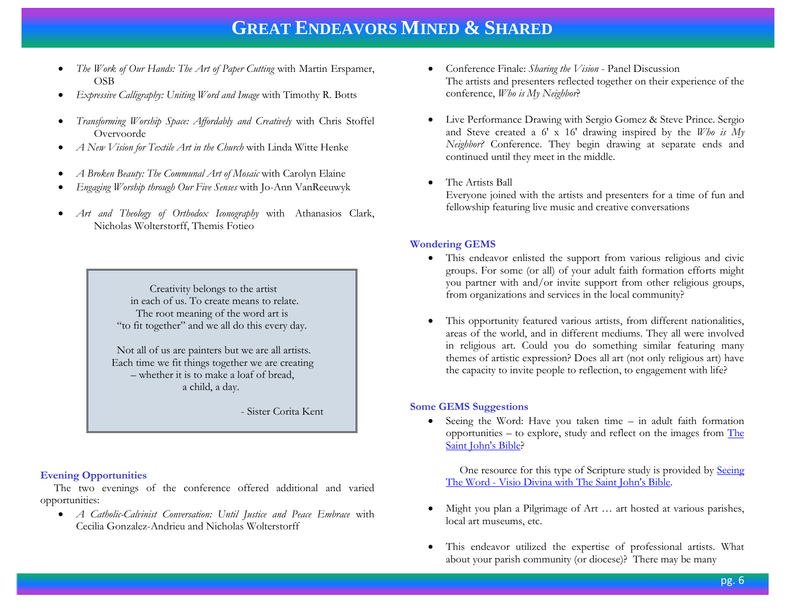- *The Work of Our Hands: The Art of Paper Cutting* with Martin Erspamer, OSB
- *Expressive Calligraphy: Uniting Word and Image* with Timothy R. Botts
- *Transforming Worship Space: Affordably and Creatively* with Chris Stoffel Overvoorde
- *A New Vision for Textile Art in the Church* with Linda Witte Henke
- *A Broken Beauty: The Communal Art of Mosaic* with Carolyn Elaine
- *Engaging Worship through Our Five Senses* with Jo-Ann VanReeuwyk
- *Art and Theology of Orthodox Iconography* with Athanasios Clark, Nicholas Wolterstorff, Themis Fotieo

 Creativity belongs to the artist in each of us. To create means to relate. The root meaning of the word art is "to fit together" and we all do this every day.

 Not all of us are painters but we are all artists. Each time we fit things together we are creating – whether it is to make a loaf of bread, a child, a day.

- Sister Corita Kent

#### **Evening Opportunities**

 The two evenings of the conference offered additional and varied opportunities:

 *A Catholic-Calvinist Conversation: Until Justice and Peace Embrace* with Cecilia Gonzalez-Andrieu and Nicholas Wolterstorff

- Conference Finale: *Sharing the Vision* Panel Discussion The artists and presenters reflected together on their experience of the conference, *Who is My Neighbor*?
- Live Performance Drawing with Sergio Gomez & Steve Prince. Sergio and Steve created a 6' x 16' drawing inspired by the *Who is My Neighbor?* Conference. They begin drawing at separate ends and continued until they meet in the middle.
- The Artists Ball

Everyone joined with the artists and presenters for a time of fun and fellowship featuring live music and creative conversations

#### **Wondering GEMS**

- This endeavor enlisted the support from various religious and civic groups. For some (or all) of your adult faith formation efforts might you partner with and/or invite support from other religious groups, from organizations and services in the local community?
- This opportunity featured various artists, from different nationalities, areas of the world, and in different mediums. They all were involved in religious art. Could you do something similar featuring many themes of artistic expression? Does all art (not only religious art) have the capacity to invite people to reflection, to engagement with life?

#### **Some GEMS Suggestions**

 Seeing the Word: Have you taken time – in adult faith formation opportunities – to explore, study and reflect on the images from [The](http://www.saintjohnsbible.org/?utm_source=bing&utm_medium=cpc&utm_campaign=BR_Search_SJB_BING)  [Saint John's Bible?](http://www.saintjohnsbible.org/?utm_source=bing&utm_medium=cpc&utm_campaign=BR_Search_SJB_BING)

 One resource for this type of Scripture study is provided by [Seeing](http://www.seeingtheword.org/)  The Word - [Visio Divina with The Saint John's Bible.](http://www.seeingtheword.org/)

- Might you plan a Pilgrimage of Art … art hosted at various parishes, local art museums, etc.
- This endeavor utilized the expertise of professional artists. What about your parish community (or diocese)? There may be many